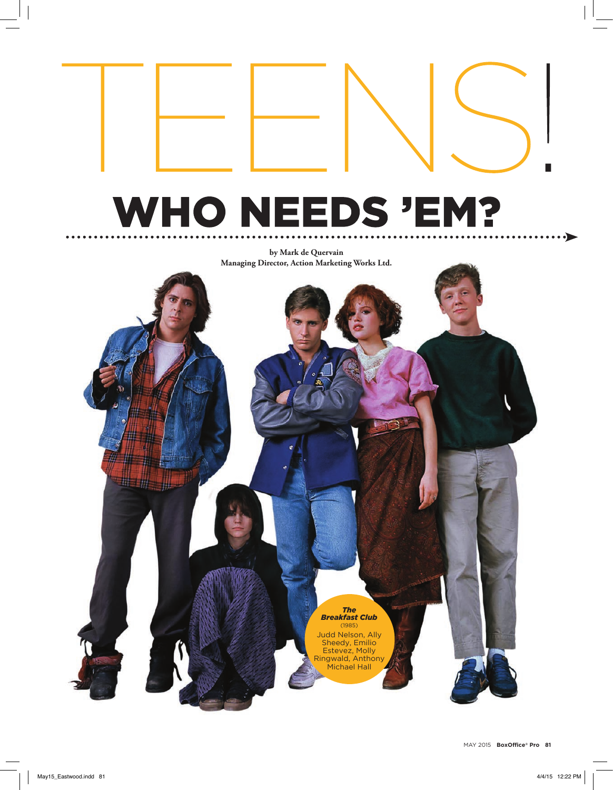# **WHO NEEDS 'EM?**

**by Mark de Quervain Managing Director, Action Marketing Works Ltd.**

#### *The Breakfast Club*

(1985) Judd Nelson, Ally Sheedy, Emilio Estevez, Molly Ringwald, Anthony Michael Hall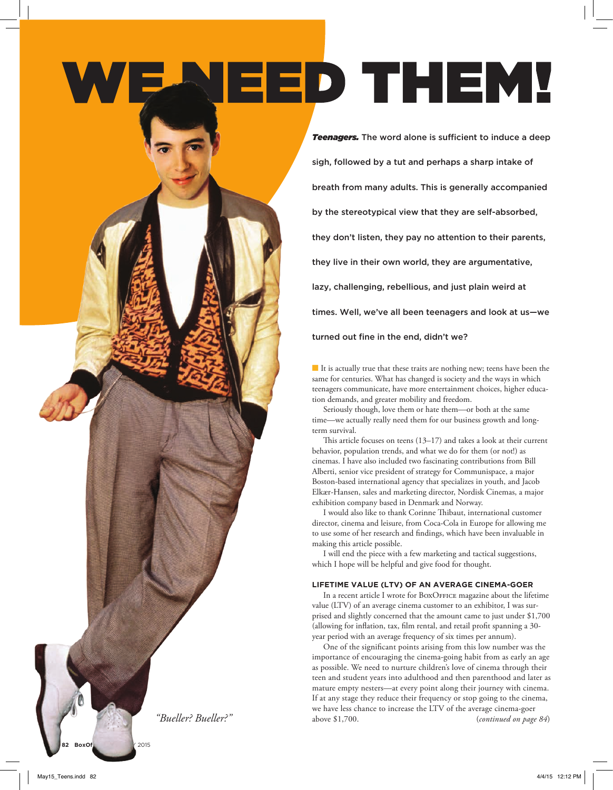# NEED THEM!

*Teenagers.* The word alone is sufficient to induce a deep sigh, followed by a tut and perhaps a sharp intake of breath from many adults. This is generally accompanied by the stereotypical view that they are self-absorbed, they don't listen, they pay no attention to their parents, they live in their own world, they are argumentative, lazy, challenging, rebellious, and just plain weird at times. Well, we've all been teenagers and look at us—we turned out fine in the end, didn't we?

 $\blacksquare$  It is actually true that these traits are nothing new; teens have been the same for centuries. What has changed is society and the ways in which teenagers communicate, have more entertainment choices, higher education demands, and greater mobility and freedom.

Seriously though, love them or hate them—or both at the same time—we actually really need them for our business growth and longterm survival.

This article focuses on teens (13–17) and takes a look at their current behavior, population trends, and what we do for them (or not!) as cinemas. I have also included two fascinating contributions from Bill Alberti, senior vice president of strategy for Communispace, a major Boston-based international agency that specializes in youth, and Jacob Elkær-Hansen, sales and marketing director, Nordisk Cinemas, a major exhibition company based in Denmark and Norway.

I would also like to thank Corinne Thibaut, international customer director, cinema and leisure, from Coca-Cola in Europe for allowing me to use some of her research and findings, which have been invaluable in making this article possible.

I will end the piece with a few marketing and tactical suggestions, which I hope will be helpful and give food for thought.

# **LIFETIME VALUE (LTV) OF AN AVERAGE CINEMA-GOER**

In a recent article I wrote for BOXOFFICE magazine about the lifetime value (LTV) of an average cinema customer to an exhibitor, I was surprised and slightly concerned that the amount came to just under \$1,700 (allowing for inflation, tax, film rental, and retail profit spanning a 30 year period with an average frequency of six times per annum).

One of the significant points arising from this low number was the importance of encouraging the cinema-going habit from as early an age as possible. We need to nurture children's love of cinema through their teen and student years into adulthood and then parenthood and later as mature empty nesters—at every point along their journey with cinema. If at any stage they reduce their frequency or stop going to the cinema, we have less chance to increase the LTV of the average cinema-goer above \$1,700. (*continued on page 84*)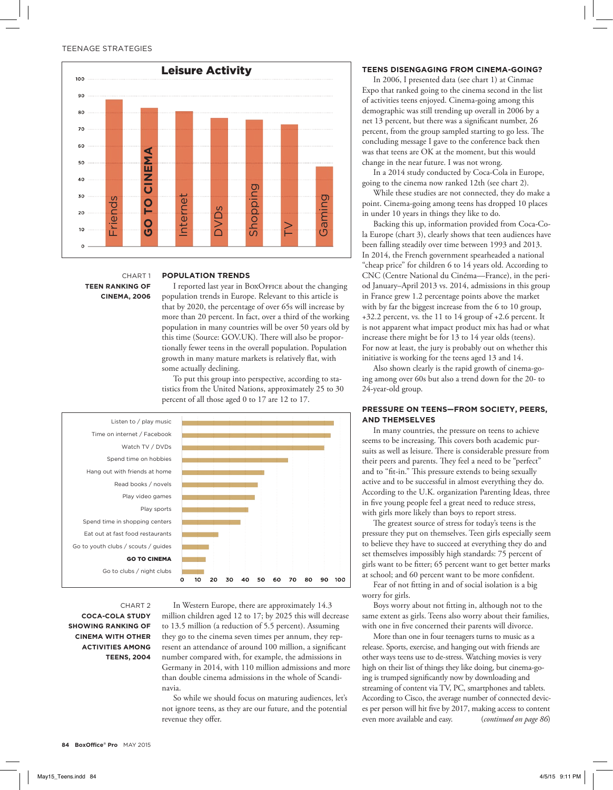

CHART 1 **TEEN RANKING OF CINEMA, 2006**

#### **POPULATION TRENDS**

I reported last year in BOXOFFICE about the changing population trends in Europe. Relevant to this article is that by 2020, the percentage of over 65s will increase by more than 20 percent. In fact, over a third of the working population in many countries will be over 50 years old by this time (Source: GOV.UK). There will also be proportionally fewer teens in the overall population. Population growth in many mature markets is relatively flat, with some actually declining.

To put this group into perspective, according to statistics from the United Nations, approximately 25 to 30 percent of all those aged 0 to 17 are 12 to 17.



CHART 2 **COCA-COLA STUDY SHOWING RANKING OF CINEMA WITH OTHER ACTIVITIES AMONG TEENS, 2004**

In Western Europe, there are approximately 14.3 million children aged 12 to 17; by 2025 this will decrease to 13.5 million (a reduction of 5.5 percent). Assuming they go to the cinema seven times per annum, they represent an attendance of around 100 million, a significant number compared with, for example, the admissions in Germany in 2014, with 110 million admissions and more than double cinema admissions in the whole of Scandinavia.

So while we should focus on maturing audiences, let's not ignore teens, as they are our future, and the potential revenue they offer.

#### **TEENS DISENGAGING FROM CINEMA-GOING?**

In 2006, I presented data (see chart 1) at Cinmae Expo that ranked going to the cinema second in the list of activities teens enjoyed. Cinema-going among this demographic was still trending up overall in 2006 by a net 13 percent, but there was a significant number, 26 percent, from the group sampled starting to go less. The concluding message I gave to the conference back then was that teens are OK at the moment, but this would change in the near future. I was not wrong.

In a 2014 study conducted by Coca-Cola in Europe, going to the cinema now ranked 12th (see chart 2).

While these studies are not connected, they do make a point. Cinema-going among teens has dropped 10 places in under 10 years in things they like to do.

Backing this up, information provided from Coca-Cola Europe (chart 3), clearly shows that teen audiences have been falling steadily over time between 1993 and 2013. In 2014, the French government spearheaded a national "cheap price" for children 6 to 14 years old. According to CNC (Centre National du Cinéma—France), in the period January–April 2013 vs. 2014, admissions in this group in France grew 1.2 percentage points above the market with by far the biggest increase from the 6 to 10 group, +32.2 percent, vs. the 11 to 14 group of +2.6 percent. It is not apparent what impact product mix has had or what increase there might be for 13 to 14 year olds (teens). For now at least, the jury is probably out on whether this initiative is working for the teens aged 13 and 14.

Also shown clearly is the rapid growth of cinema-going among over 60s but also a trend down for the 20- to 24-year-old group.

# **PRESSURE ON TEENS—FROM SOCIETY, PEERS, AND THEMSELVES**

In many countries, the pressure on teens to achieve seems to be increasing. This covers both academic pursuits as well as leisure. There is considerable pressure from their peers and parents. They feel a need to be "perfect" and to "fit-in." This pressure extends to being sexually active and to be successful in almost everything they do. According to the U.K. organization Parenting Ideas, three in five young people feel a great need to reduce stress, with girls more likely than boys to report stress.

The greatest source of stress for today's teens is the pressure they put on themselves. Teen girls especially seem to believe they have to succeed at everything they do and set themselves impossibly high standards: 75 percent of girls want to be fitter; 65 percent want to get better marks at school; and 60 percent want to be more confident.

Fear of not fitting in and of social isolation is a big worry for girls.

Boys worry about not fitting in, although not to the same extent as girls. Teens also worry about their families, with one in five concerned their parents will divorce.

More than one in four teenagers turns to music as a release. Sports, exercise, and hanging out with friends are other ways teens use to de-stress. Watching movies is very high on their list of things they like doing, but cinema-going is trumped significantly now by downloading and streaming of content via TV, PC, smartphones and tablets. According to Cisco, the average number of connected devices per person will hit five by 2017, making access to content even more available and easy. (*continued on page 86*)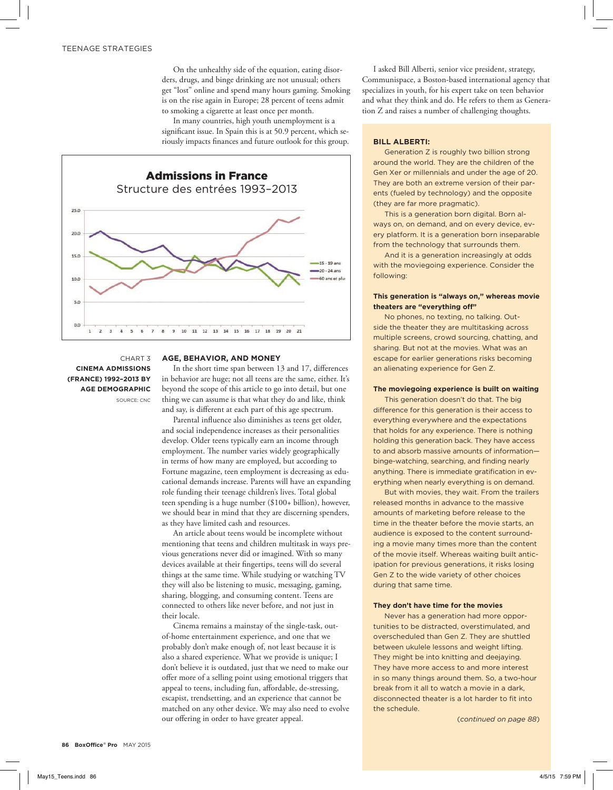On the unhealthy side of the equation, eating disorders, drugs, and binge drinking are not unusual; others get "lost" online and spend many hours gaming. Smoking is on the rise again in Europe; 28 percent of teens admit to smoking a cigarette at least once per month.

In many countries, high youth unemployment is a significant issue. In Spain this is at 50.9 percent, which seriously impacts finances and future outlook for this group.



CHART 3 **CINEMA ADMISSIONS (FRANCE) 1992–2013 BY AGE DEMOGRAPHIC** SOURCE: CNC

#### **AGE, BEHAVIOR, AND MONEY**

In the short time span between 13 and 17, differences in behavior are huge; not all teens are the same, either. It's beyond the scope of this article to go into detail, but one thing we can assume is that what they do and like, think and say, is different at each part of this age spectrum.

Parental influence also diminishes as teens get older, and social independence increases as their personalities develop. Older teens typically earn an income through employment. The number varies widely geographically in terms of how many are employed, but according to Fortune magazine, teen employment is decreasing as educational demands increase. Parents will have an expanding role funding their teenage children's lives. Total global teen spending is a huge number (\$100+ billion), however, we should bear in mind that they are discerning spenders, as they have limited cash and resources.

An article about teens would be incomplete without mentioning that teens and children multitask in ways previous generations never did or imagined. With so many devices available at their fingertips, teens will do several things at the same time. While studying or watching TV they will also be listening to music, messaging, gaming, sharing, blogging, and consuming content. Teens are connected to others like never before, and not just in their locale.

Cinema remains a mainstay of the single-task, outof-home entertainment experience, and one that we probably don't make enough of, not least because it is also a shared experience. What we provide is unique; I don't believe it is outdated, just that we need to make our offer more of a selling point using emotional triggers that appeal to teens, including fun, affordable, de-stressing, escapist, trendsetting, and an experience that cannot be matched on any other device. We may also need to evolve our offering in order to have greater appeal.

I asked Bill Alberti, senior vice president, strategy, Communispace, a Boston-based international agency that specializes in youth, for his expert take on teen behavior and what they think and do. He refers to them as Generation Z and raises a number of challenging thoughts.

#### **BILL ALBERTI:**

Generation Z is roughly two billion strong around the world. They are the children of the Gen Xer or millennials and under the age of 20. They are both an extreme version of their parents (fueled by technology) and the opposite (they are far more pragmatic).

This is a generation born digital. Born always on, on demand, and on every device, every platform. It is a generation born inseparable from the technology that surrounds them.

And it is a generation increasingly at odds with the moviegoing experience. Consider the following:

# **This generation is "always on," whereas movie theaters are "everything off"**

No phones, no texting, no talking. Outside the theater they are multitasking across multiple screens, crowd sourcing, chatting, and sharing. But not at the movies. What was an escape for earlier generations risks becoming an alienating experience for Gen Z.

# **The moviegoing experience is built on waiting**

This generation doesn't do that. The big difference for this generation is their access to everything everywhere and the expectations that holds for any experience. There is nothing holding this generation back. They have access to and absorb massive amounts of information binge-watching, searching, and finding nearly anything. There is immediate gratification in everything when nearly everything is on demand.

But with movies, they wait. From the trailers released months in advance to the massive amounts of marketing before release to the time in the theater before the movie starts, an audience is exposed to the content surrounding a movie many times more than the content of the movie itself. Whereas waiting built anticipation for previous generations, it risks losing Gen Z to the wide variety of other choices during that same time.

#### **They don't have time for the movies**

Never has a generation had more opportunities to be distracted, overstimulated, and overscheduled than Gen Z. They are shuttled between ukulele lessons and weight lifting. They might be into knitting and deejaying. They have more access to and more interest in so many things around them. So, a two-hour break from it all to watch a movie in a dark, disconnected theater is a lot harder to fit into the schedule.

(*continued on page 88*)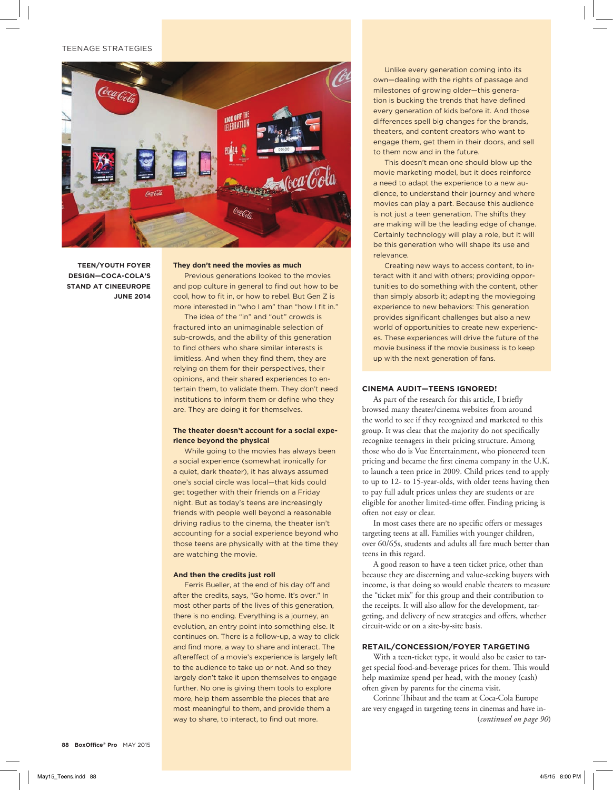## TEENAGE STRATEGIES



**TEEN/YOUTH FOYER DESIGN—COCA-COLA'S STAND AT CINEEUROPE JUNE 2014**

#### **They don't need the movies as much**

Previous generations looked to the movies and pop culture in general to find out how to be cool, how to fit in, or how to rebel. But Gen Z is more interested in "who I am" than "how I fit in."

The idea of the "in" and "out" crowds is fractured into an unimaginable selection of sub-crowds, and the ability of this generation to find others who share similar interests is limitless. And when they find them, they are relying on them for their perspectives, their opinions, and their shared experiences to entertain them, to validate them. They don't need institutions to inform them or define who they are. They are doing it for themselves.

#### **The theater doesn't account for a social experience beyond the physical**

While going to the movies has always been a social experience (somewhat ironically for a quiet, dark theater), it has always assumed one's social circle was local—that kids could get together with their friends on a Friday night. But as today's teens are increasingly friends with people well beyond a reasonable driving radius to the cinema, the theater isn't accounting for a social experience beyond who those teens are physically with at the time they are watching the movie.

#### **And then the credits just roll**

Ferris Bueller, at the end of his day off and after the credits, says, "Go home. It's over." In most other parts of the lives of this generation, there is no ending. Everything is a journey, an evolution, an entry point into something else. It continues on. There is a follow-up, a way to click and find more, a way to share and interact. The aftereffect of a movie's experience is largely left to the audience to take up or not. And so they largely don't take it upon themselves to engage further. No one is giving them tools to explore more, help them assemble the pieces that are most meaningful to them, and provide them a way to share, to interact, to find out more.

Unlike every generation coming into its own—dealing with the rights of passage and milestones of growing older—this generation is bucking the trends that have defined every generation of kids before it. And those differences spell big changes for the brands, theaters, and content creators who want to engage them, get them in their doors, and sell to them now and in the future.

This doesn't mean one should blow up the movie marketing model, but it does reinforce a need to adapt the experience to a new audience, to understand their journey and where movies can play a part. Because this audience is not just a teen generation. The shifts they are making will be the leading edge of change. Certainly technology will play a role, but it will be this generation who will shape its use and relevance.

Creating new ways to access content, to interact with it and with others; providing opportunities to do something with the content, other than simply absorb it; adapting the moviegoing experience to new behaviors: This generation provides significant challenges but also a new world of opportunities to create new experiences. These experiences will drive the future of the movie business if the movie business is to keep up with the next generation of fans.

# **CINEMA AUDIT—TEENS IGNORED!**

As part of the research for this article, I briefly browsed many theater/cinema websites from around the world to see if they recognized and marketed to this group. It was clear that the majority do not specifically recognize teenagers in their pricing structure. Among those who do is Vue Entertainment, who pioneered teen pricing and became the first cinema company in the U.K. to launch a teen price in 2009. Child prices tend to apply to up to 12- to 15-year-olds, with older teens having then to pay full adult prices unless they are students or are eligible for another limited-time offer. Finding pricing is often not easy or clear.

In most cases there are no specific offers or messages targeting teens at all. Families with younger children, over 60/65s, students and adults all fare much better than teens in this regard.

A good reason to have a teen ticket price, other than because they are discerning and value-seeking buyers with income, is that doing so would enable theaters to measure the "ticket mix" for this group and their contribution to the receipts. It will also allow for the development, targeting, and delivery of new strategies and offers, whether circuit-wide or on a site-by-site basis.

# **RETAIL/CONCESSION/FOYER TARGETING**

With a teen-ticket type, it would also be easier to target special food-and-beverage prices for them. This would help maximize spend per head, with the money (cash) often given by parents for the cinema visit.

Corinne Thibaut and the team at Coca-Cola Europe are very engaged in targeting teens in cinemas and have in-(*continued on page 90*)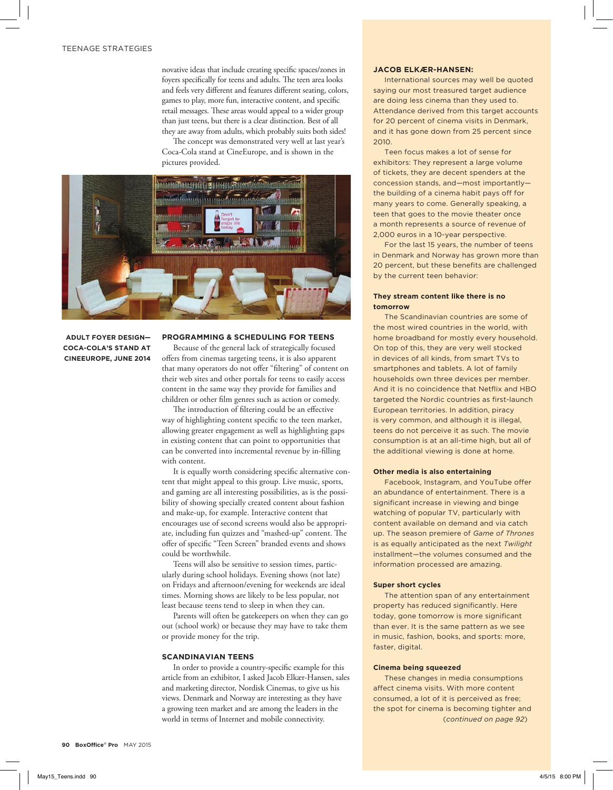novative ideas that include creating specific spaces/zones in foyers specifically for teens and adults. The teen area looks and feels very different and features different seating, colors, games to play, more fun, interactive content, and specific retail messages. These areas would appeal to a wider group than just teens, but there is a clear distinction. Best of all they are away from adults, which probably suits both sides!

The concept was demonstrated very well at last year's Coca-Cola stand at CineEurope, and is shown in the pictures provided.



# **ADULT FOYER DESIGN— COCA-COLA'S STAND AT CINEEUROPE, JUNE 2014**

### **PROGRAMMING & SCHEDULING FOR TEENS**

Because of the general lack of strategically focused offers from cinemas targeting teens, it is also apparent that many operators do not offer "filtering" of content on their web sites and other portals for teens to easily access content in the same way they provide for families and children or other film genres such as action or comedy.

The introduction of filtering could be an effective way of highlighting content specific to the teen market, allowing greater engagement as well as highlighting gaps in existing content that can point to opportunities that can be converted into incremental revenue by in-filling with content.

It is equally worth considering specific alternative content that might appeal to this group. Live music, sports, and gaming are all interesting possibilities, as is the possibility of showing specially created content about fashion and make-up, for example. Interactive content that encourages use of second screens would also be appropriate, including fun quizzes and "mashed-up" content. The offer of specific "Teen Screen" branded events and shows could be worthwhile.

Teens will also be sensitive to session times, particularly during school holidays. Evening shows (not late) on Fridays and afternoon/evening for weekends are ideal times. Morning shows are likely to be less popular, not least because teens tend to sleep in when they can.

Parents will often be gatekeepers on when they can go out (school work) or because they may have to take them or provide money for the trip.

#### **SCANDINAVIAN TEENS**

In order to provide a country-specific example for this article from an exhibitor, I asked Jacob Elkær-Hansen, sales and marketing director, Nordisk Cinemas, to give us his views. Denmark and Norway are interesting as they have a growing teen market and are among the leaders in the world in terms of Internet and mobile connectivity.

#### **JACOB ELKÆR-HANSEN:**

International sources may well be quoted saying our most treasured target audience are doing less cinema than they used to. Attendance derived from this target accounts for 20 percent of cinema visits in Denmark, and it has gone down from 25 percent since 2010.

Teen focus makes a lot of sense for exhibitors: They represent a large volume of tickets, they are decent spenders at the concession stands, and—most importantly the building of a cinema habit pays off for many years to come. Generally speaking, a teen that goes to the movie theater once a month represents a source of revenue of 2,000 euros in a 10-year perspective.

For the last 15 years, the number of teens in Denmark and Norway has grown more than 20 percent, but these benefits are challenged by the current teen behavior:

# **They stream content like there is no tomorrow**

The Scandinavian countries are some of the most wired countries in the world, with home broadband for mostly every household. On top of this, they are very well stocked in devices of all kinds, from smart TVs to smartphones and tablets. A lot of family households own three devices per member. And it is no coincidence that Netflix and HBO targeted the Nordic countries as first-launch European territories. In addition, piracy is very common, and although it is illegal, teens do not perceive it as such. The movie consumption is at an all-time high, but all of the additional viewing is done at home.

#### **Other media is also entertaining**

Facebook, Instagram, and YouTube offer an abundance of entertainment. There is a significant increase in viewing and binge watching of popular TV, particularly with content available on demand and via catch up. The season premiere of *Game of Thrones* is as equally anticipated as the next *Twilight* installment—the volumes consumed and the information processed are amazing.

#### **Super short cycles**

The attention span of any entertainment property has reduced significantly. Here today, gone tomorrow is more significant than ever. It is the same pattern as we see in music, fashion, books, and sports: more, faster, digital.

#### **Cinema being squeezed**

These changes in media consumptions affect cinema visits. With more content consumed, a lot of it is perceived as free; the spot for cinema is becoming tighter and (*continued on page 92*)